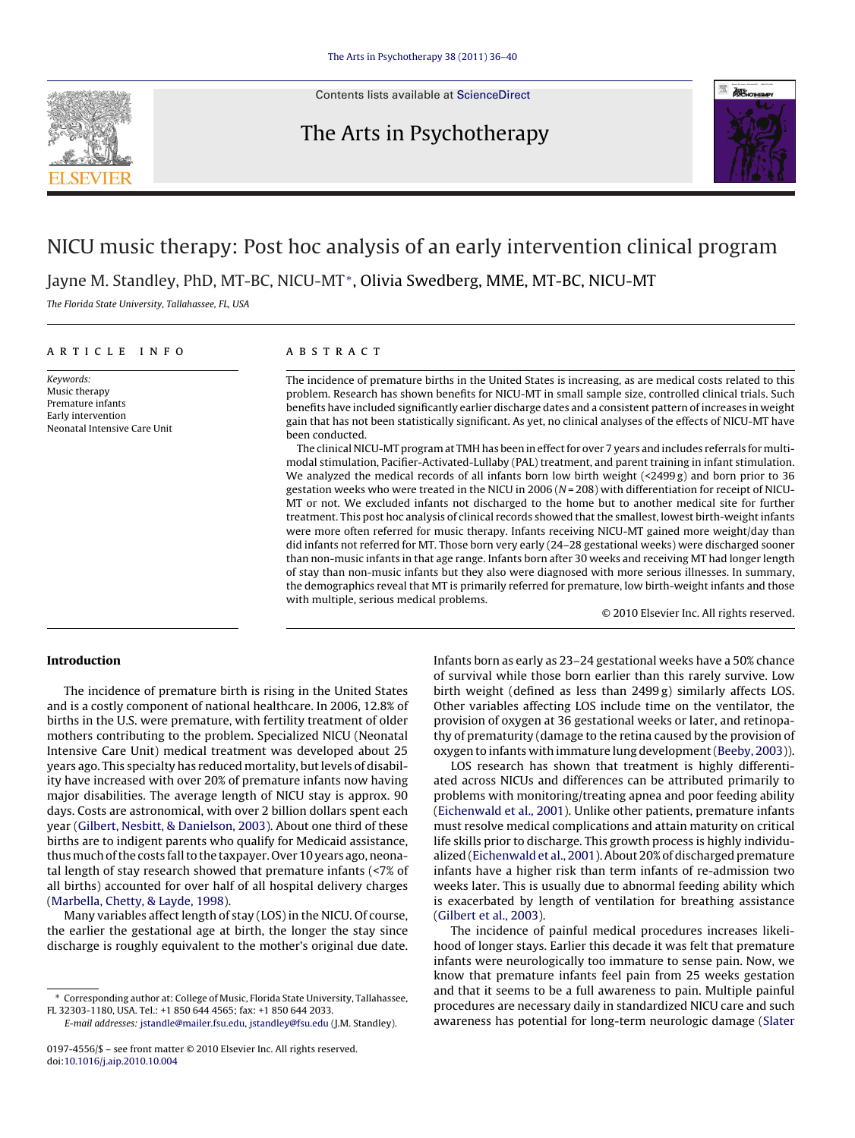

Contents lists available at [ScienceDirect](http://www.sciencedirect.com/science/journal/01974556)

# The Arts in Psychotherapy



# NICU music therapy: Post hoc analysis of an early intervention clinical program

Jayne M. Standley, PhD, MT-BC, NICU-MT∗, Olivia Swedberg, MME, MT-BC, NICU-MT

The Florida State University, Tallahassee, FL, USA

#### article info

Keywords: Music therapy Premature infants Early intervention Neonatal Intensive Care Unit

## **ABSTRACT**

The incidence of premature births in the United States is increasing, as are medical costs related to this problem. Research has shown benefits for NICU-MT in small sample size, controlled clinical trials. Such benefits have included significantly earlier discharge dates and a consistent pattern of increases in weight gain that has not been statistically significant. As yet, no clinical analyses of the effects of NICU-MT have been conducted.

The clinical NICU-MT program at TMH has been in effect for over 7 years and includes referrals for multimodal stimulation, Pacifier-Activated-Lullaby (PAL) treatment, and parent training in infant stimulation. We analyzed the medical records of all infants born low birth weight (<2499 g) and born prior to 36 gestation weeks who were treated in the NICU in 2006 (N = 208) with differentiation for receipt of NICU-MT or not. We excluded infants not discharged to the home but to another medical site for further treatment. This post hoc analysis of clinical records showed that the smallest, lowest birth-weight infants were more often referred for music therapy. Infants receiving NICU-MT gained more weight/day than did infants not referred for MT. Those born very early (24–28 gestational weeks) were discharged sooner than non-music infants in that age range. Infants born after 30 weeks and receiving MT had longer length of stay than non-music infants but they also were diagnosed with more serious illnesses. In summary, the demographics reveal that MT is primarily referred for premature, low birth-weight infants and those with multiple, serious medical problems.

© 2010 Elsevier Inc. All rights reserved.

## **Introduction**

The incidence of premature birth is rising in the United States and is a costly component of national healthcare. In 2006, 12.8% of births in the U.S. were premature, with fertility treatment of older mothers contributing to the problem. Specialized NICU (Neonatal Intensive Care Unit) medical treatment was developed about 25 years ago. This specialty has reduced mortality, but levels of disability have increased with over 20% of premature infants now having major disabilities. The average length of NICU stay is approx. 90 days. Costs are astronomical, with over 2 billion dollars spent each year [\(Gilbert, Nesbitt, & Danielson, 2003\).](#page--1-0) About one third of these births are to indigent parents who qualify for Medicaid assistance, thus much of the costs fall to the taxpayer. Over 10 years ago, neonatal length of stay research showed that premature infants (<7% of all births) accounted for over half of all hospital delivery charges ([Marbella, Chetty, & Layde, 1998\).](#page--1-0)

Many variables affect length of stay (LOS) in the NICU. Of course, the earlier the gestational age at birth, the longer the stay since discharge is roughly equivalent to the mother's original due date. Infants born as early as 23–24 gestational weeks have a 50% chance of survival while those born earlier than this rarely survive. Low birth weight (defined as less than 2499 g) similarly affects LOS. Other variables affecting LOS include time on the ventilator, the provision of oxygen at 36 gestational weeks or later, and retinopathy of prematurity (damage to the retina caused by the provision of oxygen to infants with immature lung development [\(Beeby, 2003\)\)](#page--1-0).

LOS research has shown that treatment is highly differentiated across NICUs and differences can be attributed primarily to problems with monitoring/treating apnea and poor feeding ability [\(Eichenwald et al., 2001\).](#page--1-0) Unlike other patients, premature infants must resolve medical complications and attain maturity on critical life skills prior to discharge. This growth process is highly individualized [\(Eichenwald et al., 2001\).](#page--1-0) About 20% of discharged premature infants have a higher risk than term infants of re-admission two weeks later. This is usually due to abnormal feeding ability which is exacerbated by length of ventilation for breathing assistance [\(Gilbert et al., 2003\).](#page--1-0)

The incidence of painful medical procedures increases likelihood of longer stays. Earlier this decade it was felt that premature infants were neurologically too immature to sense pain. Now, we know that premature infants feel pain from 25 weeks gestation and that it seems to be a full awareness to pain. Multiple painful procedures are necessary daily in standardized NICU care and such awareness has potential for long-term neurologic damage ([Slater](#page--1-0)

<sup>∗</sup> Corresponding author at: College of Music, Florida State University, Tallahassee, FL 32303-1180, USA. Tel.: +1 850 644 4565; fax: +1 850 644 2033.

E-mail addresses: [jstandle@mailer.fsu.edu,](mailto:jstandle@mailer.fsu.edu) [jstandley@fsu.edu](mailto:jstandley@fsu.edu) (J.M. Standley).

<sup>0197-4556/\$ –</sup> see front matter © 2010 Elsevier Inc. All rights reserved. doi:[10.1016/j.aip.2010.10.004](dx.doi.org/10.1016/j.aip.2010.10.004)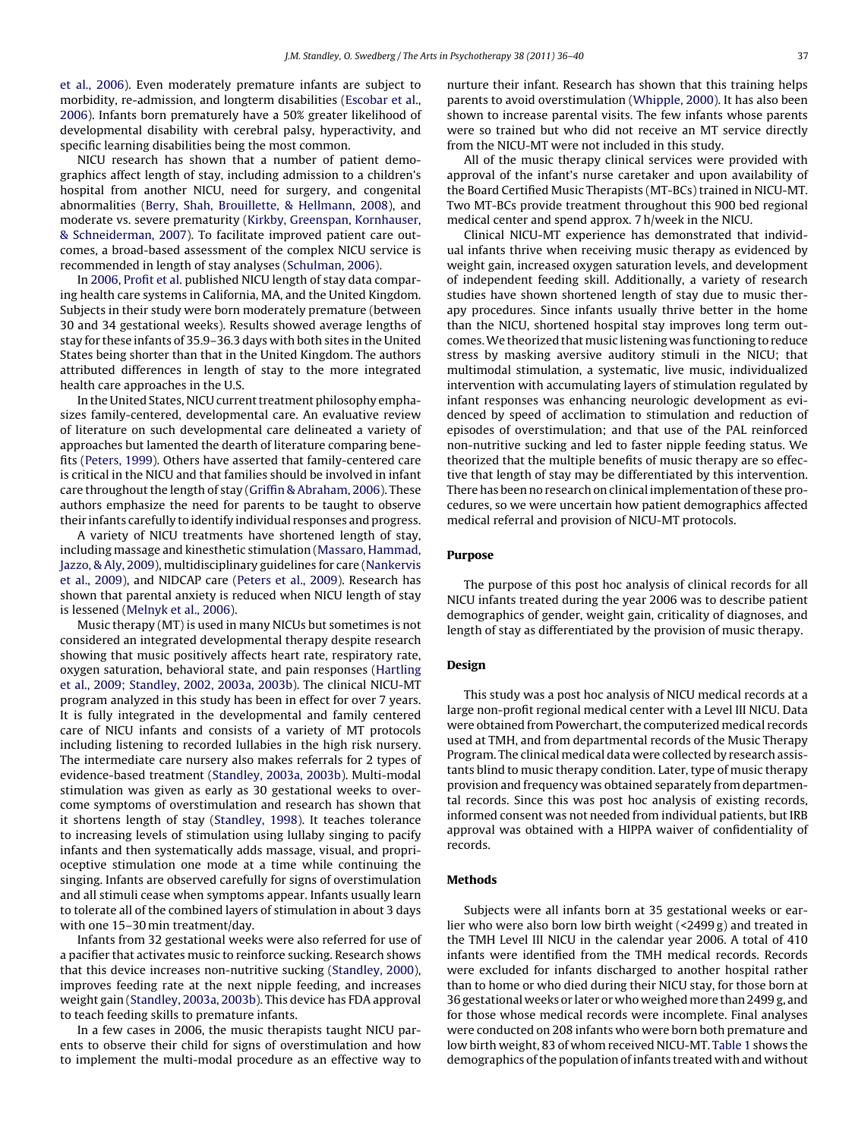[et al., 2006\).](#page--1-0) Even moderately premature infants are subject to morbidity, re-admission, and longterm disabilities ([Escobar et al.,](#page--1-0) [2006\).](#page--1-0) Infants born prematurely have a 50% greater likelihood of developmental disability with cerebral palsy, hyperactivity, and specific learning disabilities being the most common.

NICU research has shown that a number of patient demographics affect length of stay, including admission to a children's hospital from another NICU, need for surgery, and congenital abnormalities ([Berry, Shah, Brouillette, & Hellmann, 2008\),](#page--1-0) and moderate vs. severe prematurity [\(Kirkby, Greenspan, Kornhauser,](#page--1-0) [& Schneiderman, 2007\).](#page--1-0) To facilitate improved patient care outcomes, a broad-based assessment of the complex NICU service is recommended in length of stay analyses [\(Schulman, 2006\).](#page--1-0)

In [2006, Profit et al.](#page--1-0) published NICU length of stay data comparing health care systems in California, MA, and the United Kingdom. Subjects in their study were born moderately premature (between 30 and 34 gestational weeks). Results showed average lengths of stay for these infants of 35.9–36.3 days with both sites in the United States being shorter than that in the United Kingdom. The authors attributed differences in length of stay to the more integrated health care approaches in the U.S.

In the United States, NICU current treatment philosophy emphasizes family-centered, developmental care. An evaluative review of literature on such developmental care delineated a variety of approaches but lamented the dearth of literature comparing benefits [\(Peters, 1999\).](#page--1-0) Others have asserted that family-centered care is critical in the NICU and that families should be involved in infant care throughout the length of stay ([Griffin & Abraham, 2006\).](#page--1-0) These authors emphasize the need for parents to be taught to observe their infants carefully to identify individual responses and progress.

A variety of NICU treatments have shortened length of stay, including massage and kinesthetic stimulation [\(Massaro, Hammad,](#page--1-0) [Jazzo, & Aly, 2009\),](#page--1-0) multidisciplinary guidelines for care [\(Nankervis](#page--1-0) [et al., 2009\),](#page--1-0) and NIDCAP care [\(Peters et al., 2009\).](#page--1-0) Research has shown that parental anxiety is reduced when NICU length of stay is lessened [\(Melnyk et al., 2006\).](#page--1-0)

Music therapy (MT) is used in many NICUs but sometimes is not considered an integrated developmental therapy despite research showing that music positively affects heart rate, respiratory rate, oxygen saturation, behavioral state, and pain responses [\(Hartling](#page--1-0) [et al., 2009; Standley, 2002, 2003a, 2003b\).](#page--1-0) The clinical NICU-MT program analyzed in this study has been in effect for over 7 years. It is fully integrated in the developmental and family centered care of NICU infants and consists of a variety of MT protocols including listening to recorded lullabies in the high risk nursery. The intermediate care nursery also makes referrals for 2 types of evidence-based treatment [\(Standley, 2003a, 2003b\).](#page--1-0) Multi-modal stimulation was given as early as 30 gestational weeks to overcome symptoms of overstimulation and research has shown that it shortens length of stay [\(Standley, 1998\).](#page--1-0) It teaches tolerance to increasing levels of stimulation using lullaby singing to pacify infants and then systematically adds massage, visual, and proprioceptive stimulation one mode at a time while continuing the singing. Infants are observed carefully for signs of overstimulation and all stimuli cease when symptoms appear. Infants usually learn to tolerate all of the combined layers of stimulation in about 3 days with one 15–30 min treatment/day.

Infants from 32 gestational weeks were also referred for use of a pacifier that activates music to reinforce sucking. Research shows that this device increases non-nutritive sucking ([Standley, 2000\),](#page--1-0) improves feeding rate at the next nipple feeding, and increases weight gain ([Standley, 2003a, 2003b\).](#page--1-0) This device has FDA approval to teach feeding skills to premature infants.

In a few cases in 2006, the music therapists taught NICU parents to observe their child for signs of overstimulation and how to implement the multi-modal procedure as an effective way to nurture their infant. Research has shown that this training helps parents to avoid overstimulation [\(Whipple, 2000\).](#page--1-0) It has also been shown to increase parental visits. The few infants whose parents were so trained but who did not receive an MT service directly from the NICU-MT were not included in this study.

All of the music therapy clinical services were provided with approval of the infant's nurse caretaker and upon availability of the Board Certified Music Therapists (MT-BCs) trained in NICU-MT. Two MT-BCs provide treatment throughout this 900 bed regional medical center and spend approx. 7 h/week in the NICU.

Clinical NICU-MT experience has demonstrated that individual infants thrive when receiving music therapy as evidenced by weight gain, increased oxygen saturation levels, and development of independent feeding skill. Additionally, a variety of research studies have shown shortened length of stay due to music therapy procedures. Since infants usually thrive better in the home than the NICU, shortened hospital stay improves long term outcomes. We theorized that music listening was functioning to reduce stress by masking aversive auditory stimuli in the NICU; that multimodal stimulation, a systematic, live music, individualized intervention with accumulating layers of stimulation regulated by infant responses was enhancing neurologic development as evidenced by speed of acclimation to stimulation and reduction of episodes of overstimulation; and that use of the PAL reinforced non-nutritive sucking and led to faster nipple feeding status. We theorized that the multiple benefits of music therapy are so effective that length of stay may be differentiated by this intervention. There has been no research on clinical implementation of these procedures, so we were uncertain how patient demographics affected medical referral and provision of NICU-MT protocols.

#### **Purpose**

The purpose of this post hoc analysis of clinical records for all NICU infants treated during the year 2006 was to describe patient demographics of gender, weight gain, criticality of diagnoses, and length of stay as differentiated by the provision of music therapy.

#### **Design**

This study was a post hoc analysis of NICU medical records at a large non-profit regional medical center with a Level III NICU. Data were obtained from Powerchart, the computerized medical records used at TMH, and from departmental records of the Music Therapy Program. The clinical medical data were collected by research assistants blind to music therapy condition. Later, type of music therapy provision and frequency was obtained separately from departmental records. Since this was post hoc analysis of existing records, informed consent was not needed from individual patients, but IRB approval was obtained with a HIPPA waiver of confidentiality of records.

### **Methods**

Subjects were all infants born at 35 gestational weeks or earlier who were also born low birth weight (<2499 g) and treated in the TMH Level III NICU in the calendar year 2006. A total of 410 infants were identified from the TMH medical records. Records were excluded for infants discharged to another hospital rather than to home or who died during their NICU stay, for those born at 36 gestational weeks or later or who weighed more than 2499 g, and for those whose medical records were incomplete. Final analyses were conducted on 208 infants who were born both premature and low birth weight, 83 of whom received NICU-MT. [Table 1](#page--1-0) shows the demographics of the population of infants treated with and without